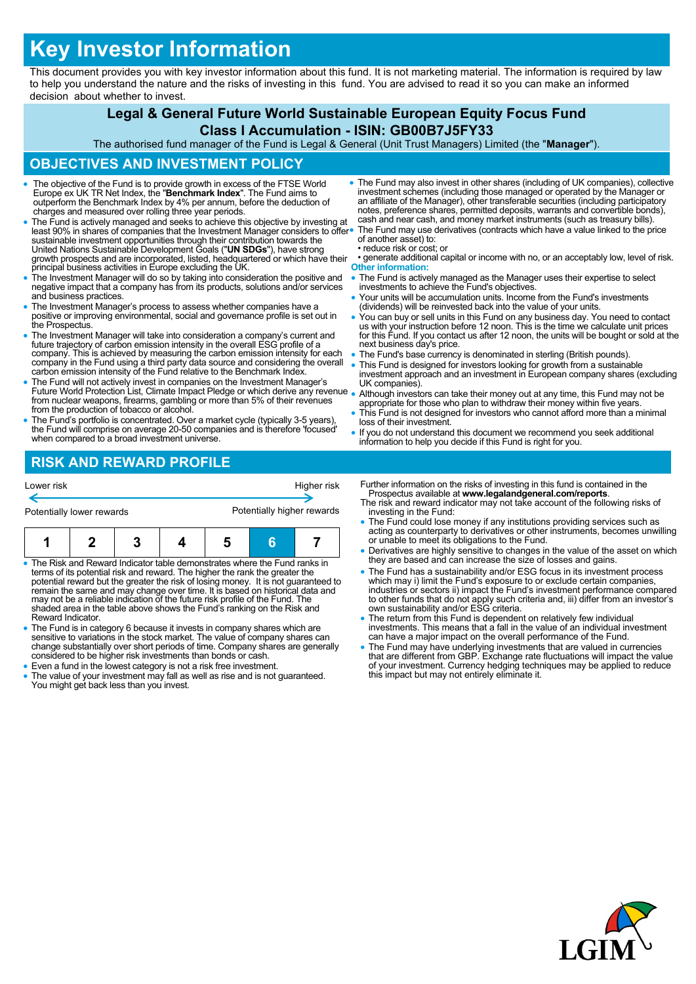# **Key Investor Information**

This document provides you with key investor information about this fund. It is not marketing material. The information is required by law to help you understand the nature and the risks of investing in this fund. You are advised to read it so you can make an informed decision about whether to invest.

## **Legal & General Future World Sustainable European Equity Focus Fund**

## **Class I Accumulation - ISIN: GB00B7J5FY33**

The authorised fund manager of the Fund is Legal & General (Unit Trust Managers) Limited (the "**Manager**").

## **OBJECTIVES AND INVESTMENT POLICY**

- The objective of the Fund is to provide growth in excess of the FTSE World Europe ex UK TR Net Index, the "**Benchmark Index**". The Fund aims to outperform the Benchmark Index by 4% per annum, before the deduction of charges and measured over rolling three year periods.
- The Fund is actively managed and seeks to achieve this objective by investing at least 90% in shares of companies that the Investment Manager considers to offer<br>sustainable investment opportunities through their contribution towards the<br>United Nations Sustainable Development Goals ("**UN SDGs**"), have s growth prospects and are incorporated, listed, headquartered or which have their principal business activities in Europe excluding the UK.
- The Investment Manager will do so by taking into consideration the positive and negative impact that a company has from its products, solutions and/or services and business practices.
- The Investment Manager's process to assess whether companies have a positive or improving environmental, social and governance profile is set out in the Prospectus.
- The Investment Manager will take into consideration a company's current and future trajectory of carbon emission intensity in the overall ESG profile of a company. This is achieved by measuring the carbon emission intensity for each company in the Fund using a third party data source and considering the overall carbon emission intensity of the Fund relative to the Benchmark Index.
- The Fund will not actively invest in companies on the Investment Manager's Future World Protection List, Climate Impact Pledge or which derive any revenue from nuclear weapons, firearms, gambling or more than 5% of their revenues from the production of tobacco or alcohol.
- The Fund's portfolio is concentrated. Over a market cycle (typically 3-5 years), the Fund will comprise on average 20-50 companies and is therefore 'focused' when compared to a broad investment universe.
- The Fund may also invest in other shares (including of UK companies), collective investment schemes (including those managed or operated by the Manager or an affiliate of the Manager), other transferable securities (including participatory notes, preference shares, permitted deposits, warrants and convertible bonds), cash and near cash, and money market instruments (such as treasury bills). The Fund may use derivatives (contracts which have a value linked to the price of another asset) to: • reduce risk or cost; or
- generate additional capital or income with no, or an acceptably low, level of risk. **Other information:**
- The Fund is actively managed as the Manager uses their expertise to select investments to achieve the Fund's objectives.
- Your units will be accumulation units. Income from the Fund's investments (dividends) will be reinvested back into the value of your units.
- You can buy or sell units in this Fund on any business day. You need to contact us with your instruction before 12 noon. This is the time we calculate unit prices for this Fund. If you contact us after 12 noon, the units will be bought or sold at the next business day's price.
- The Fund's base currency is denominated in sterling (British pounds).
- This Fund is designed for investors looking for growth from a sustainable investment approach and an investment in European company shares (excluding UK companies).
- Although investors can take their money out at any time, this Fund may not be appropriate for those who plan to withdraw their money within five years.
- This Fund is not designed for investors who cannot afford more than a minimal loss of their investment.
- If you do not understand this document we recommend you seek additional information to help you decide if this Fund is right for you.

## **RISK AND REWARD PROFILE**

| Lower risk                | Higher risk                |  |  |
|---------------------------|----------------------------|--|--|
| Potentially lower rewards | Potentially higher rewards |  |  |

|--|--|--|--|--|--|--|

• The Risk and Reward Indicator table demonstrates where the Fund ranks in terms of its potential risk and reward. The higher the rank the greater the<br>potential reward but the greater the risk of losing money. It is not guaranteed to<br>remain the same and may change over time. It is based on histor Reward Indicator.

- The Fund is in category 6 because it invests in company shares which are sensitive to variations in the stock market. The value of company shares can change substantially over short periods of time. Company shares are generally considered to be higher risk investments than bonds or cash.
- Even a fund in the lowest category is not a risk free investment.
- The value of your investment may fall as well as rise and is not guaranteed. You might get back less than you invest.
- Further information on the risks of investing in this fund is contained in the Prospectus available at **www.legalandgeneral.com/reports**. The risk and reward indicator may not take account of the following risks of
- investing in the Fund: The Fund could lose money if any institutions providing services such as
- acting as counterparty to derivatives or other instruments, becomes unwilling or unable to meet its obligations to the Fund.
- Derivatives are highly sensitive to changes in the value of the asset on which they are based and can increase the size of losses and gains.
- The Fund has a sustainability and/or ESG focus in its investment process which may i) limit the Fund's exposure to or exclude certain companies, industries or sectors ii) impact the Fund's investment performance compared to other funds that do not apply such criteria and, iii) differ from an investor's own sustainability and/or ESG criteria.
- The return from this Fund is dependent on relatively few individual investments. This means that a fall in the value of an individual investment can have a major impact on the overall performance of the Fund.
- The Fund may have underlying investments that are valued in currencies that are different from GBP. Exchange rate fluctuations will impact the value of your investment. Currency hedging techniques may be applied to reduce this impact but may not entirely eliminate it.